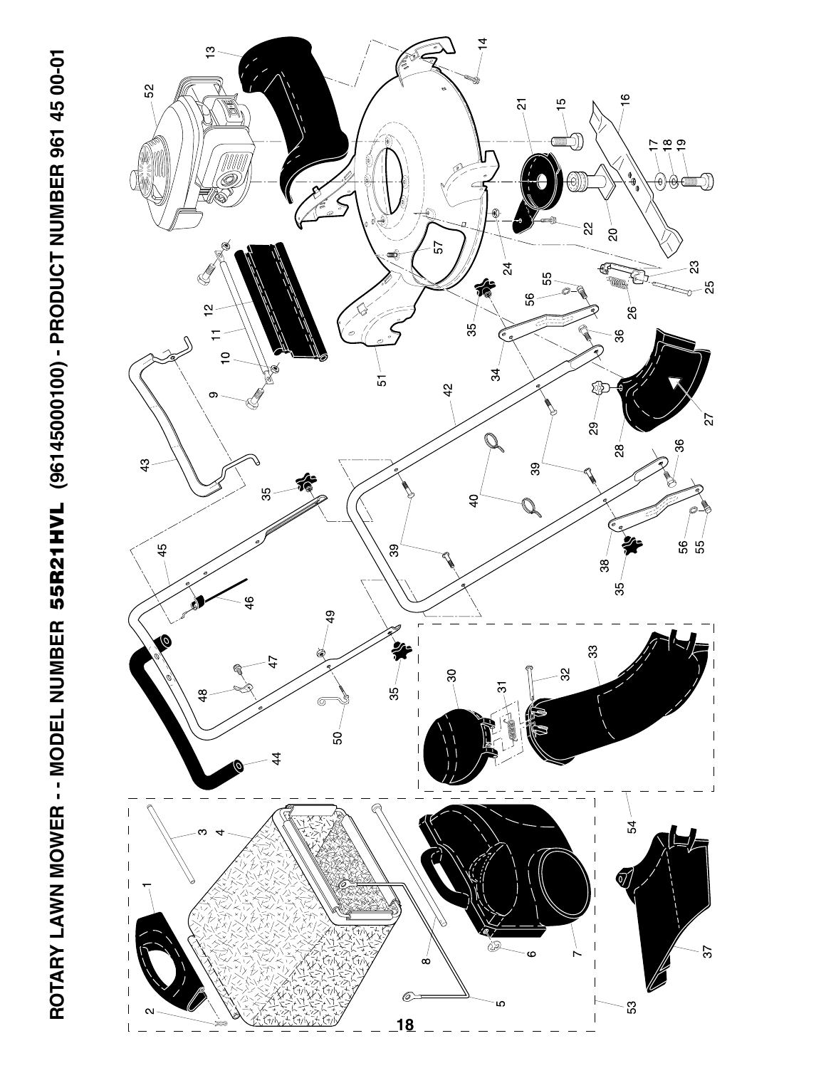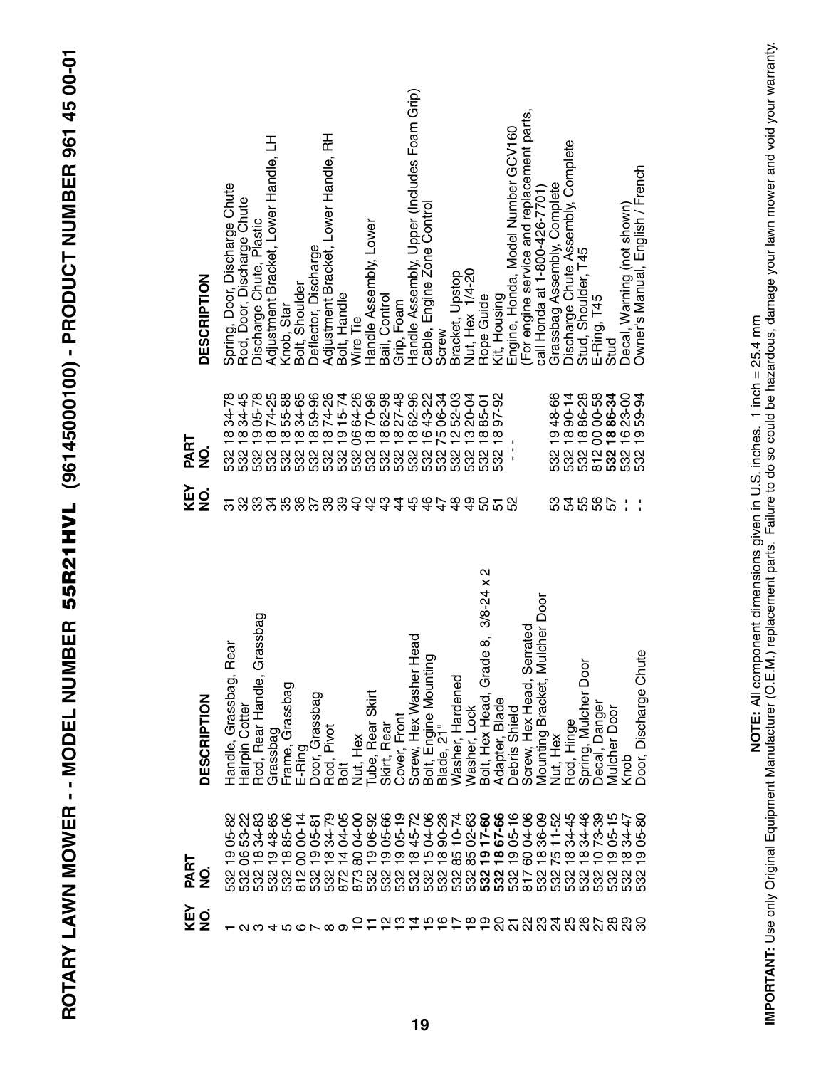ROTARY LAWN MOWER -- MODEL NUMBER 55R21HVL (96145000100) - PRODUCT NUMBER 961 45 00-01 **ROTARY LAWN MOWER - - MODEL NUMBER 55R21HVL (96145000100) - PRODUCT NUMBER 961 45 00-01**

| <b>DESCRIPTION</b>    | Spring, Door, Discharge Chute<br>Rod, Door, Discharge Chute | Discharge Chute, Plastic                           | Adjustment Bracket, Lower Handle, LH | Knob, Star              | Bolt, Shoulder | Deflector, Discharge             | Adjustment Bracket, Lower Handle, RH | Bolt, Handle                   | Wire Tie    | Handle Assembly, Lower | Bail, Control                             | Grip, Foam   | Handle Assembly, Upper (Includes Foam Grip) | Cable, Engine Zone Control                                   | Screw | Bracket, Upstop  | Nut, Hex 1/4-20 | Rope Guide                                       | Kit, Housing   | Engine, Honda, Model Number GCV160 | For engine service and replacement parts,                   | call Honda at 1-800-426-7701)    | Grassbag Assembly, Complete | Discharge Chute Assembly, Complete | Stud, Shoulder, T45                                                                     | E-Ring, T45      | Stud            | Decal, Warning (not shown)                   | Owner's Manual, English / French |
|-----------------------|-------------------------------------------------------------|----------------------------------------------------|--------------------------------------|-------------------------|----------------|----------------------------------|--------------------------------------|--------------------------------|-------------|------------------------|-------------------------------------------|--------------|---------------------------------------------|--------------------------------------------------------------|-------|------------------|-----------------|--------------------------------------------------|----------------|------------------------------------|-------------------------------------------------------------|----------------------------------|-----------------------------|------------------------------------|-----------------------------------------------------------------------------------------|------------------|-----------------|----------------------------------------------|----------------------------------|
| PART<br><u>o</u><br>2 | 34-78<br>1834-45<br>532                                     | ្ត<br>ខ្លួន ខ្លួន<br>លុយ លុយ                       |                                      |                         |                |                                  |                                      |                                |             |                        |                                           |              |                                             |                                                              |       |                  |                 |                                                  |                | $\mathbf{I}$                       |                                                             |                                  |                             |                                    | 532 19 48-66<br>532 18 90-14<br>532 18 86-28<br>532 18 86-28<br>812 00 00-58            |                  |                 | 532 18 86-34<br>532 16 23-00<br>532 19 59-94 |                                  |
| KEY<br>$\frac{1}{2}$  | ᢛ                                                           |                                                    |                                      |                         |                |                                  |                                      |                                |             |                        |                                           |              |                                             |                                                              |       |                  |                 | <b>ន</b> ភន                                      |                |                                    |                                                             |                                  | 53                          |                                    | <b>45657</b>                                                                            |                  |                 | f,                                           | $\frac{1}{1}$                    |
| <b>DESCRIPTION</b>    | Rear<br>$\vec{p}$<br>Handle, Grassba<br>Hairpin Cotter      | e, Grassbag<br>Rod, Rear Hand                      | Grassbag                             | ਨ<br>Frame, Grassba     | E-Ring         | Door, Grassbag                   |                                      | Rod, Pivot<br>Bolt<br>Nut, Hex |             | Tube, Rear Skirt       | Skirt, Rear                               | Cover, Front | her Head                                    | Screw, Hex Washer Hea<br>Bolt, Engine Mounting<br>Blade, 21" |       | Washer, Hardened | Washer, Lock    | 2<br>Grade 8, 3/8-24 x<br>Bolt, Hex Head         | Adapter, Blade | Debris Shield                      | Screw, Hex Head, Serrated<br>Mounting Bracket, Mulcher Door |                                  | Nut, Hex                    | Rod, Hinge                         | Door<br>Spring, Mulcher                                                                 | Decal, Danger    | Door<br>Mulcher | Knob                                         | Chute<br>Door, Discharge         |
| PART<br>0<br>Z        | 05-82                                                       | 53485<br>53485<br>53485<br>$\frac{\infty}{\infty}$ | თ                                    | $\overline{\mathbf{8}}$ | $00 - 14$<br>8 | 05-81<br>34-79<br>$\overline{9}$ | $\frac{\infty}{\infty}$              | 04-05<br>$\frac{1}{4}$         | 04-00<br>80 |                        | 889228824<br>985728824<br>98922882<br>တ တ |              |                                             | $\sigma$ $\sigma$ $\sigma$ $\sigma$                          |       | 85               | 85              | $02 - 63$<br>$17 - 66$<br>67-66<br>$\frac{5}{6}$ |                | $05 - 16$<br>$\frac{1}{2}$         | 04-06<br>80                                                 | 36-09<br>$\frac{\infty}{\infty}$ | 5 e 2                       |                                    | $11 - 52$<br>$34 - 46$<br>$34 - 46$<br>$\infty$<br>លលលលលលល<br>ខាងការ<br>ស្រុក មាន ស្រុក | 73-39<br>$\circ$ | $05 - 15$<br>တ  | $34 - 47$<br>$\infty$                        | 05-80<br>ග                       |
| KEY<br>NO.            | - מט 4 מסר 8 סברה בדבר בר בר מטטט מטט מטט מטט -             |                                                    |                                      |                         |                |                                  |                                      |                                |             |                        |                                           |              |                                             |                                                              |       |                  |                 |                                                  |                |                                    |                                                             |                                  |                             |                                    |                                                                                         |                  |                 |                                              |                                  |

IMPORTANT: Use only Original Equipment Manufacturer (O.E.M.) replacement parts. Failure to do so could be hazardous, damage your lawn mower and void your warranty.<br>IMPORTANT: Use only Original Equipment Manufacturer (O.E.M **IMPORTANT:** Use only Original Equipment Manufacturer (O.E.M.) replacement parts. Failure to do so could be hazardous, damage your lawn mower and void your warranty.**NOTE:** All component dimensions given in U.S. inches. 1 inch = 25.4 mm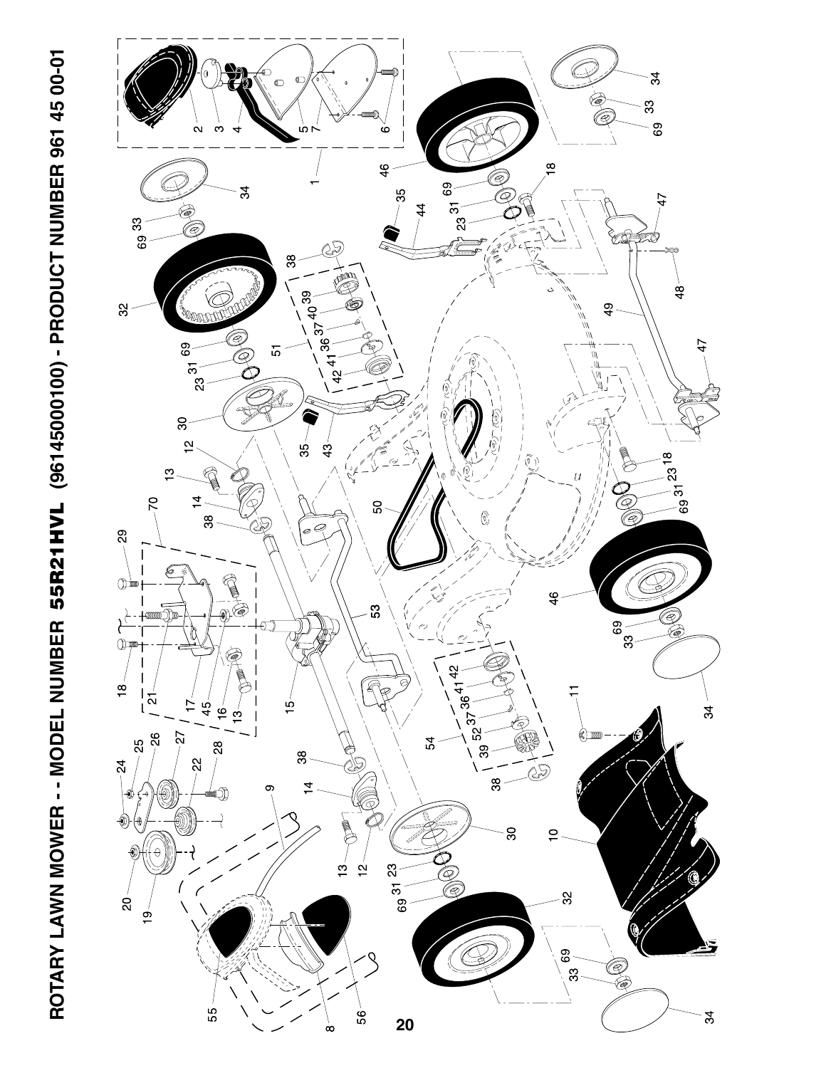

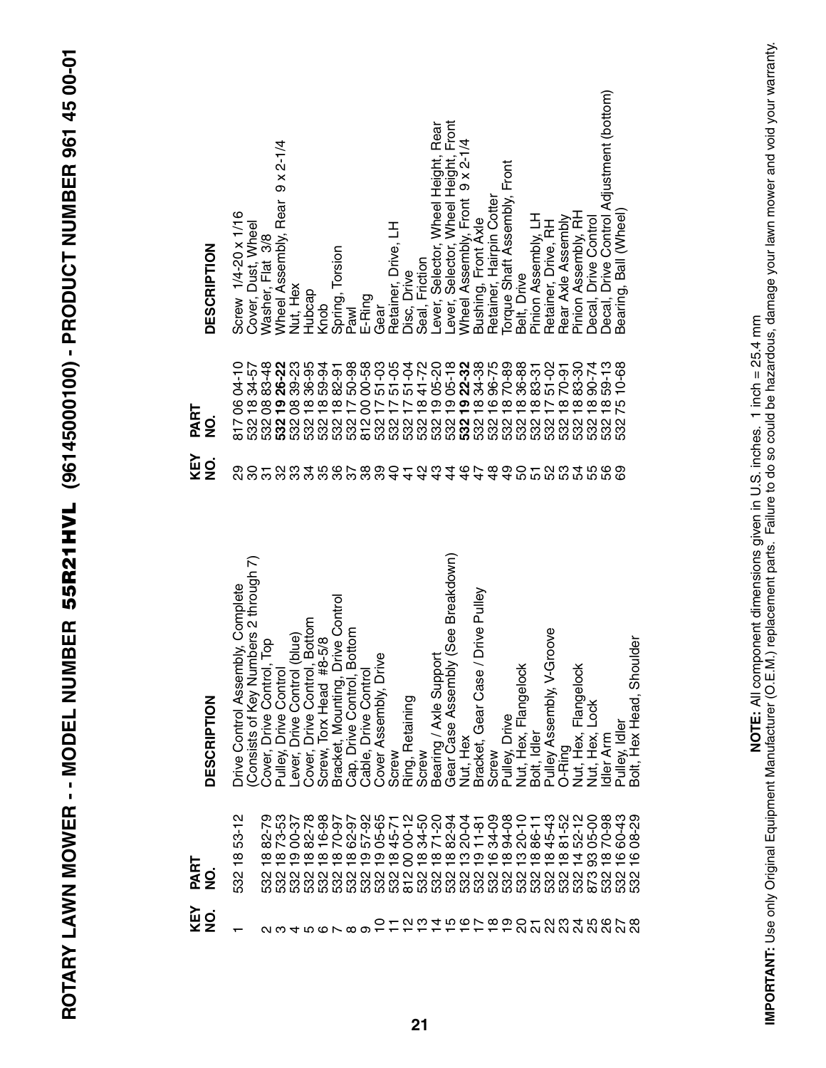| DESCRIPTION<br>PART<br>g<br>Z | Screw 1/4-20 x 1/16<br>$04 - 10$<br>80<br>817 | Cover, Dust, Wheel<br>Washer, Flat 3/8<br>83-48<br>$34 - 57$<br>$\frac{8}{6}$<br>ល្លួល<br>ហើយ<br>ហើយ | $9 \times 2 - 1/4$<br>Wheel Assembly, Rear<br>26-22<br><u>စု</u> | Nut, Hex<br>39-23<br>8 <sup>o</sup> | Hubcap<br>36-95<br>$\overset{\infty}{\mathbf{-}}$ | Knob<br>59-91<br>82-91           | Spring, Torsion<br>50-98<br>$\frac{\infty}{\infty}$                          | Pawl<br>E-Ring<br>00-58<br>8<br>ិ<br>បានបានបានបានបានបានបាន <b>បាន</b><br>បានបានបានបានបានបាន <b>បាន</b> បានបានបានបានបា | Gear<br>$51 - 03$<br>$\overline{1}$ | Retainer, Drive, LH<br>$51 - 05$<br>$\overline{1}$ | Disc, Drive<br>51-04<br>$\overline{\phantom{0}}$ | Seal, Friction<br>41-72<br>$\frac{1}{2}$ | Lever, Selector, Wheel Height, Rear<br>Lever, Selector, Wheel Height, Front<br>05-20<br>$\circ$ | 05- <b>18</b><br>22-38<br>34-38<br>$\mathbf{\circ}$ | Wheel Assembly, Front 9 x 2-1/4<br>$\bullet$ | Retainer, Hairpin Cotter<br>Bushing, Front Axle<br>96-75<br>$\overline{\mathbf{8}}$<br>$\overline{\mathbf{6}}$ | Torque Shaft Assembly, Front<br>70-89<br>$\infty$ | Belt, Drive<br>36-88<br>$\overline{\mathbf{8}}$ | Pinion Assembly, LH<br>83-31<br>$\overline{\infty}$ | Retainer, Drive, RH<br>51-02<br>$\geq$ | Rear Axle Assembly<br>$70 - 91$<br>$\frac{\infty}{\infty}$ | Pinion Assembly, RH<br>83-30<br>$\frac{\infty}{\infty}$ | Decal, Drive Control<br>Decal, Drive Control Adjustment (bottom)<br>90-74<br>$\overline{\mathbf{8}}$<br>532 | 59-13<br>$\frac{\infty}{\infty}$<br>532 | Bearing, Ball (Wheel)<br>$0 - 68$<br>75<br>532 |
|-------------------------------|-----------------------------------------------|------------------------------------------------------------------------------------------------------|------------------------------------------------------------------|-------------------------------------|---------------------------------------------------|----------------------------------|------------------------------------------------------------------------------|-----------------------------------------------------------------------------------------------------------------------|-------------------------------------|----------------------------------------------------|--------------------------------------------------|------------------------------------------|-------------------------------------------------------------------------------------------------|-----------------------------------------------------|----------------------------------------------|----------------------------------------------------------------------------------------------------------------|---------------------------------------------------|-------------------------------------------------|-----------------------------------------------------|----------------------------------------|------------------------------------------------------------|---------------------------------------------------------|-------------------------------------------------------------------------------------------------------------|-----------------------------------------|------------------------------------------------|
| KEY<br>NO.                    | ನಿ ನಿ ನಿ                                      |                                                                                                      |                                                                  | 33                                  | 34                                                |                                  |                                                                              | 58588                                                                                                                 |                                     | $\overline{4}$                                     | $\frac{1}{4}$                                    |                                          |                                                                                                 |                                                     |                                              |                                                                                                                |                                                   |                                                 | និដ្ឋនិង                                            |                                        |                                                            |                                                         | 55                                                                                                          | <b>99</b>                               |                                                |
| DESCRIPTION                   | Complete<br>Drive Control Assembly,           | (Consists of Key Numbers 2 through 7)<br>Cover, Drive Control, Top                                   | Pulley, Drive Control                                            | Lever, Drive Control (blue)         | mo.<br>Cover, Drive Control, Bott                 | Screw, Torx Head #8-5/8          | Control<br>E<br>Cap, Drive Control, Botto<br>Bracket, Mounting, Drive        | Cable, Drive Control                                                                                                  | Cover Assembly, Drive               | Screw                                              | Ring, Retaining                                  | Screw                                    | Bearing / Axle Support                                                                          | Gear Case Assembly (See Breakdown)                  | Nut, Hex                                     | Bracket, Gear Case / Drive Pulley<br>Screw                                                                     | Pulley, Drive                                     | Nut, Hex, Flangelock                            | Bolt, Idler                                         | Φ<br>Pulley Assembly, V-Groov          | O-Ring                                                     | Nut, Hex, Flangelock                                    | Lock<br>Nut, Hex,                                                                                           | Idler Arm                               | Bolt, Hex Head, Shoulder<br>Pulley, Idler      |
|                               |                                               |                                                                                                      |                                                                  |                                     |                                                   |                                  |                                                                              |                                                                                                                       |                                     |                                                    |                                                  |                                          |                                                                                                 |                                                     |                                              |                                                                                                                |                                                   |                                                 |                                                     |                                        |                                                            |                                                         |                                                                                                             |                                         | 60-43                                          |
| PART<br>gi                    | 53-12<br>$\frac{8}{1}$<br>532                 | 82-79<br>∞                                                                                           | 73-53<br>$\frac{\infty}{\infty}$                                 | 00-37<br>$\overline{9}$             | 82-78<br>$\frac{\infty}{1}$                       | 16-98<br>$\frac{\infty}{\infty}$ | 70-97<br>62-97<br>62-98<br>05-65<br>$\frac{\infty}{\infty}$<br>$\frac{8}{1}$ | $\frac{6}{1}$                                                                                                         | <u>ဇ</u>                            | 45-71<br>$\frac{8}{1}$                             | $00 - 12$<br>8                                   | 34-50<br>71-20<br>$\frac{8}{1}$          | $\frac{8}{1}$                                                                                   | 82-94<br>$\frac{8}{1}$                              | 20-04<br>က္                                  | 34-09<br>$11 - 81$<br>$\frac{1}{2}$<br>$\frac{6}{1}$                                                           | 94-08<br>$\frac{8}{1}$                            | $\frac{1}{2}$                                   | 20-11<br>86-11<br>$\frac{8}{1}$                     | 45-43<br>$\frac{\infty}{\infty}$       | $81 - 52$<br>$\frac{8}{1}$                                 | 52-12<br>$\frac{4}{4}$                                  | 05-00<br>93                                                                                                 | 70-98<br>$\frac{8}{1}$                  | $\frac{8}{2}$<br>$\frac{6}{1}$                 |

**ROTARY LAWN MOWER - - MODEL NUMBER 55R21HVL (96145000100) - PRODUCT NUMBER 961 45 00-01**

ROTARY LAWN MOWER -- MODEL NUMBER 55R21HVL (96145000100) - PRODUCT NUMBER 961 45 00-01

IMPORTANT: Use only Original Equipment Manufacturer (O.E.M.) replacement parts. Failure to do so could be hazardous, damage your lawn mower and void your warranty.<br>IMPORTANT: Use only Original Equipment Manufacturer (O.E.M **IMPORTANT:** Use only Original Equipment Manufacturer (O.E.M.) replacement parts. Failure to do so could be hazardous, damage your lawn mower and void your warranty.**NOTE:** All component dimensions given in U.S. inches. 1 inch = 25.4 mm